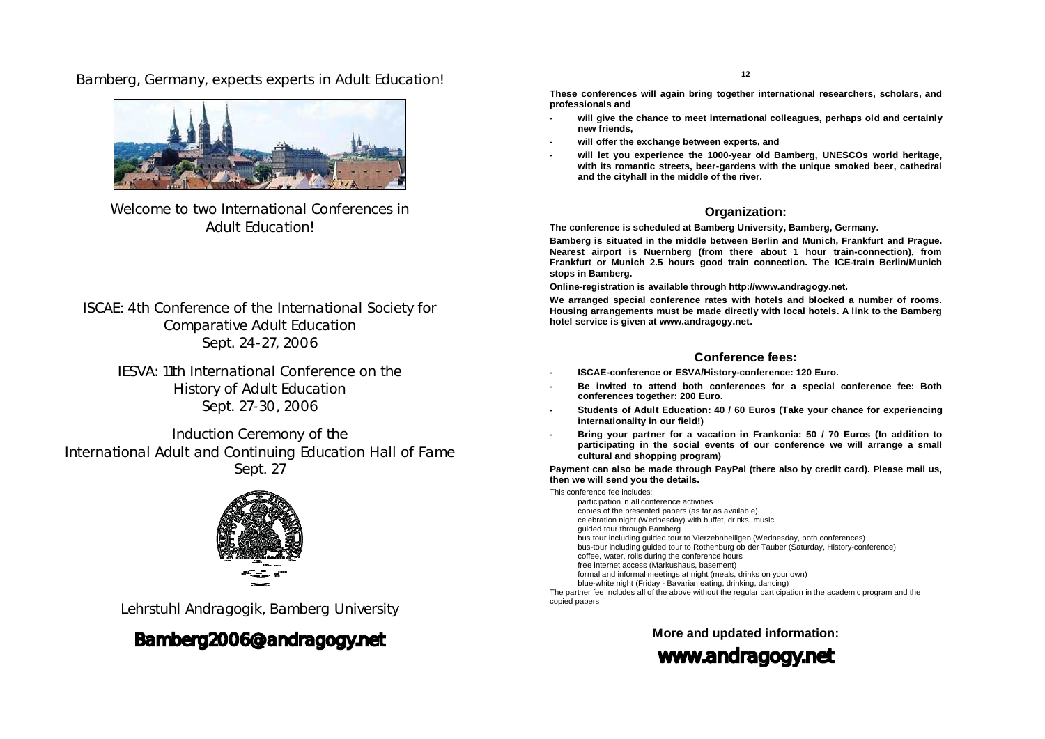Bamberg, Germany, expects experts in Adult Education!



Welcome to two International Conferences in Adult Education!

ISCAE: 4th Conference of the International Society for Comparative Adult Education Sept. 24-27, 2006

IESVA: 11th International Conference on the History of Adult Education Sept. 27-30, 2006

Induction Ceremony of the International Adult and Continuing Education Hall of Fame Sept. 27



Lehrstuhl Andragogik, Bamberg University

# [Bamberg2006@andragogy.net](mailto:Bamberg2006@andragogy.net)

**12**

**These conferences will again bring together international researchers, scholars, and professionals and**

- **- will give the chance to meet international colleagues, perhaps old and certainly new friends,**
- **- will offer the exchange between experts, and**
- **- will let you experience the 1000-year old Bamberg, UNESCOs world heritage, with its romantic streets, beer-gardens with the unique smoked beer, cathedral and the cityhall in the middle of the river.**

# **Organization:**

**The conference is scheduled at Bamberg University, Bamberg, Germany.** 

**Bamberg is situated in the middle between Berlin and Munich, Frankfurt and Prague. Nearest airport is Nuernberg (from there about 1 hour train-connection), from Frankfurt or Munich 2.5 hours good train connection. The ICE-train Berlin/Munich stops in Bamberg.**

**Online-registration is available through<http://www.andragogy.net.>**

**We arranged special conference rates with hotels and blocked a number of rooms. Housing arrangements must be made directly with local hotels. A link to the Bamberg hotel service is given at [www.andragogy.net.](http://www.andragogy.net.)** 

# **Conference fees:**

- **- ISCAE-conference or ESVA/History-conference: 120 Euro.**
- **- Be invited to attend both conferences for a special conference fee: Both conferences together: 200 Euro.**
- **- Students of Adult Education: 40 / 60 Euros (Take your chance for experiencing internationality in our field!)**
- **- Bring your partner for a vacation in Frankonia: 50 / 70 Euros (In addition to participating in the social events of our conference we will arrange a small cultural and shopping program)**

**Payment can also be made through PayPal (there also by credit card). Please mail us, then we will send you the details.** 

This conference fee includes: participation in all conference activities copies of the presented papers (as far as available)

- celebration night (Wednesday) with buffet, drinks, music
- guided tour through Bamberg
- bus tour including guided tour to Vierzehnheiligen (Wednesday, both conferences) bus-tour including guided tour to Rothenburg ob der Tauber (Saturday, History-conference)
- coffee, water, rolls during the conference hours
- free internet access (Markushaus, basement)
- formal and informal meetings at night (meals, drinks on your own)
- blue-white night (Friday Bavarian eating, drinking, dancing)

The partner fee includes all of the above without the regular participation in the academic program and the copied papers

**More and updated information:** 

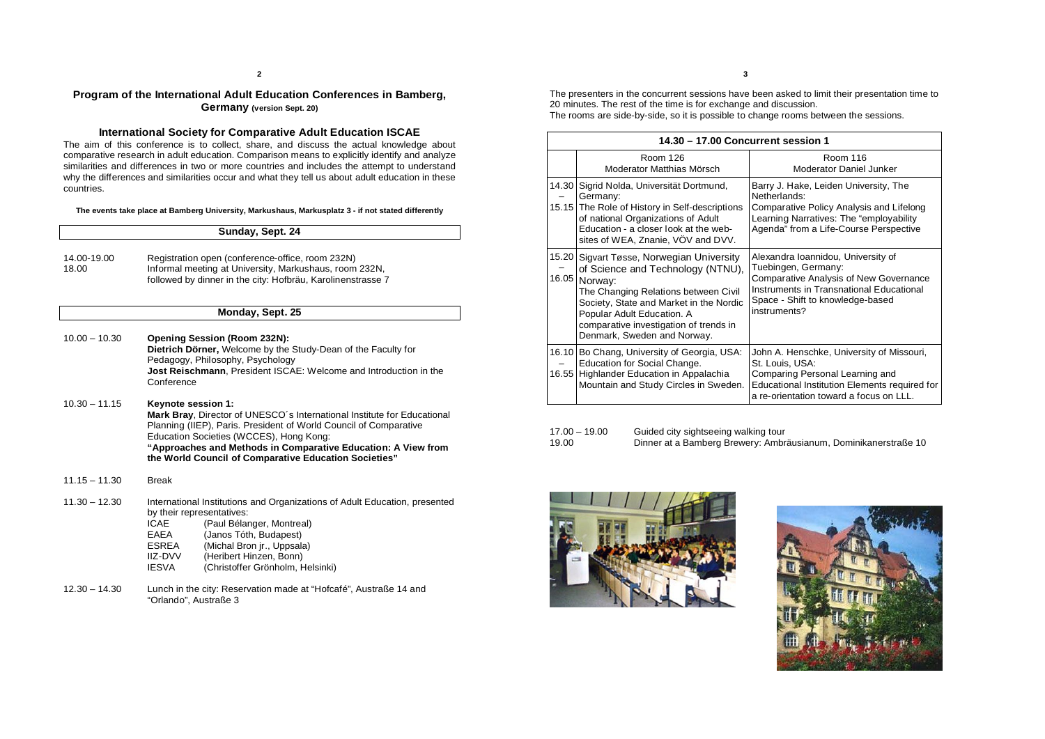# **Program of the International Adult Education Conferences in Bamberg, Germany (version Sept. 20)**

# **International Society for Comparative Adult Education ISCAE**

The aim of this conference is to collect, share, and discuss the actual knowledge about comparative research in adult education. Comparison means to explicitly identify and analyze similarities and differences in two or more countries and includes the attempt to understand why the differences and similarities occur and what they tell us about adult education in these countries.

**The events take place at Bamberg University, Markushaus, Markusplatz 3 - if not stated differently**

|                      | Sunday, Sept. 24                                                                                                                                                                                                                                                                                                                        |  |
|----------------------|-----------------------------------------------------------------------------------------------------------------------------------------------------------------------------------------------------------------------------------------------------------------------------------------------------------------------------------------|--|
| 14.00-19.00<br>18.00 | Registration open (conference-office, room 232N)<br>Informal meeting at University, Markushaus, room 232N,<br>followed by dinner in the city: Hofbräu, Karolinenstrasse 7                                                                                                                                                               |  |
|                      | Monday, Sept. 25                                                                                                                                                                                                                                                                                                                        |  |
| $10.00 - 10.30$      | Opening Session (Room 232N):<br>Dietrich Dörner, Welcome by the Study-Dean of the Faculty for<br>Pedagogy, Philosophy, Psychology<br>Jost Reischmann, President ISCAE: Welcome and Introduction in the<br>Conference                                                                                                                    |  |
| $10.30 - 11.15$      | Keynote session 1:<br>Mark Bray, Director of UNESCO's International Institute for Educational<br>Planning (IIEP), Paris. President of World Council of Comparative<br>Education Societies (WCCES), Hong Kong:<br>"Approaches and Methods in Comparative Education: A View from<br>the World Council of Comparative Education Societies" |  |
| $11.15 - 11.30$      | <b>Break</b>                                                                                                                                                                                                                                                                                                                            |  |
| $11.30 - 12.30$      | International Institutions and Organizations of Adult Education, presented<br>by their representatives:<br><b>ICAE</b><br>(Paul Bélanger, Montreal)<br>(Janos Tóth, Budapest)<br>EAEA<br>ESREA<br>(Michal Bron jr., Uppsala)<br>(Heribert Hinzen, Bonn)<br><b>IIZ-DVV</b><br><b>IESVA</b><br>(Christoffer Grönholm, Helsinki)           |  |

12.30 – 14.30 Lunch in the city: Reservation made at "Hofcafé", Austraße 14 and "Orlando", Austraße 3

The presenters in the concurrent sessions have been asked to limit their presentation time to 20 minutes. The rest of the time is for exchange and discussion. The rooms are side-by-side, so it is possible to change rooms between the sessions.

|       | 14.30 - 17.00 Concurrent session 1                                                                                                                                                                                                                                                  |                                                                                                                                                                                                     |  |
|-------|-------------------------------------------------------------------------------------------------------------------------------------------------------------------------------------------------------------------------------------------------------------------------------------|-----------------------------------------------------------------------------------------------------------------------------------------------------------------------------------------------------|--|
|       | Room 126<br>Moderator Matthias Mörsch                                                                                                                                                                                                                                               | Room 116<br>Moderator Daniel Junker                                                                                                                                                                 |  |
|       | 14.30 Sigrid Nolda, Universität Dortmund,<br>Germany:<br>15.15 The Role of History in Self-descriptions<br>of national Organizations of Adult<br>Education - a closer look at the web-<br>sites of WEA, Znanie, VOV and DVV.                                                        | Barry J. Hake, Leiden University, The<br>Netherlands:<br>Comparative Policy Analysis and Lifelong<br>Learning Narratives: The "employability<br>Agenda" from a Life-Course Perspective              |  |
| 16.05 | 15.20 Sigvart Tøsse, Norwegian University<br>of Science and Technology (NTNU),<br>Norway:<br>The Changing Relations between Civil<br>Society, State and Market in the Nordic<br>Popular Adult Education. A<br>comparative investigation of trends in<br>Denmark, Sweden and Norway. | Alexandra Ioannidou, University of<br>Tuebingen, Germany:<br>Comparative Analysis of New Governance<br>Instruments in Transnational Educational<br>Space - Shift to knowledge-based<br>instruments? |  |
|       | 16.10 Bo Chang, University of Georgia, USA:<br>Education for Social Change.<br>16.55 Highlander Education in Appalachia<br>Mountain and Study Circles in Sweden.                                                                                                                    | John A. Henschke, University of Missouri,<br>St. Louis, USA:<br>Comparing Personal Learning and<br>Educational Institution Elements required for<br>a re-orientation toward a focus on LLL.         |  |

| 17.00 - 19.00 | Guided city sightseeing walking tour                            |
|---------------|-----------------------------------------------------------------|
| 19.00         | Dinner at a Bamberg Brewery: Ambräusianum, Dominikanerstraße 10 |



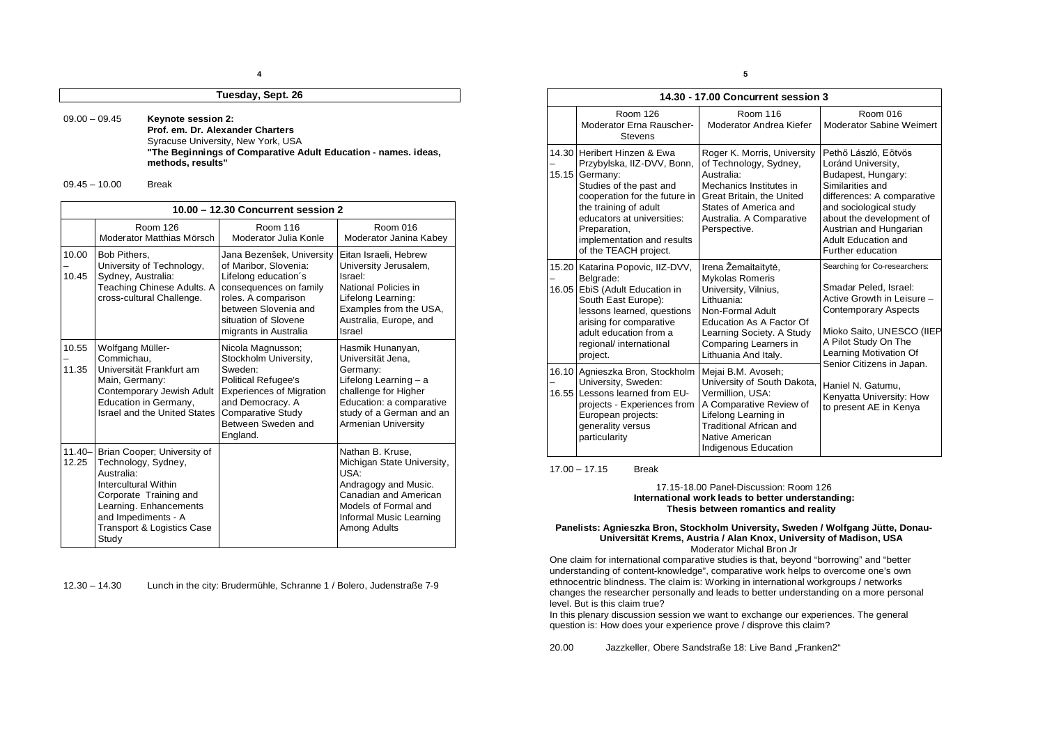### **Tuesday, Sept. 26**

09.00 – 09.45 **Keynote session 2:**

**Prof. em. Dr. Alexander Charters** Syracuse University, New York, USA **"The Beginnings of Comparative Adult Education - names. ideas, methods, results"**

09.45 – 10.00 Break

| 10.00 - 12.30 Concurrent session 2 |                                                                                                                                                                                                            |                                                                                                                                                                                                        |                                                                                                                                                                                   |
|------------------------------------|------------------------------------------------------------------------------------------------------------------------------------------------------------------------------------------------------------|--------------------------------------------------------------------------------------------------------------------------------------------------------------------------------------------------------|-----------------------------------------------------------------------------------------------------------------------------------------------------------------------------------|
|                                    | Room 126<br>Moderator Matthias Mörsch                                                                                                                                                                      | Room 116<br>Moderator Julia Konle                                                                                                                                                                      | Room 016<br>Moderator Janina Kabey                                                                                                                                                |
| 10.00<br>10.45                     | Bob Pithers,<br>University of Technology,<br>Sydney, Australia:<br>Teaching Chinese Adults. A<br>cross-cultural Challenge.                                                                                 | Jana Bezenšek, University<br>of Maribor, Slovenia:<br>Lifelong education's<br>consequences on family<br>roles. A comparison<br>between Slovenia and<br>situation of Slovene<br>migrants in Australia   | Eitan Israeli, Hebrew<br>University Jerusalem,<br>Israel:<br>National Policies in<br>Lifelong Learning:<br>Examples from the USA,<br>Australia, Europe, and<br>Israel             |
| 10.55<br>11.35                     | Wolfgang Müller-<br>Commichau,<br>Universität Frankfurt am<br>Main, Germany:<br>Contemporary Jewish Adult<br>Education in Germany,<br>Israel and the United States                                         | Nicola Magnusson;<br>Stockholm University,<br>Sweden <sup>.</sup><br>Political Refugee's<br><b>Experiences of Migration</b><br>and Democracy. A<br>Comparative Study<br>Between Sweden and<br>England. | Hasmik Hunanyan,<br>Universität Jena,<br>Germany:<br>Lifelong Learning - a<br>challenge for Higher<br>Education: a comparative<br>study of a German and an<br>Armenian University |
| $11.40 -$<br>12.25                 | Brian Cooper; University of<br>Technology, Sydney,<br>Australia:<br>Intercultural Within<br>Corporate Training and<br>Learning. Enhancements<br>and Impediments - A<br>Transport & Logistics Case<br>Study |                                                                                                                                                                                                        | Nathan B. Kruse.<br>Michigan State University,<br>USA·<br>Andragogy and Music.<br>Canadian and American<br>Models of Formal and<br>Informal Music Learning<br>Among Adults        |

12.30 – 14.30 Lunch in the city: Brudermühle, Schranne 1 / Bolero, Judenstraße 7-9

**5**

| 14.30 - 17.00 Concurrent session 3 |                                                                                                                                                                                                                                                                 |                                                                                                                                                                                                            |                                                                                                                                                                                                                                                |  |
|------------------------------------|-----------------------------------------------------------------------------------------------------------------------------------------------------------------------------------------------------------------------------------------------------------------|------------------------------------------------------------------------------------------------------------------------------------------------------------------------------------------------------------|------------------------------------------------------------------------------------------------------------------------------------------------------------------------------------------------------------------------------------------------|--|
|                                    | Room 126<br>Moderator Erna Rauscher-<br><b>Stevens</b>                                                                                                                                                                                                          | Room 116<br>Moderator Andrea Kiefer                                                                                                                                                                        | Room 016<br>Moderator Sabine Weimert                                                                                                                                                                                                           |  |
| 15.15                              | 14.30 Heribert Hinzen & Ewa<br>Przybylska, IIZ-DVV, Bonn,<br>Germany:<br>Studies of the past and<br>cooperation for the future in<br>the training of adult<br>educators at universities:<br>Preparation,<br>implementation and results<br>of the TEACH project. | Roger K. Morris, University<br>of Technology, Sydney,<br>Australia:<br>Mechanics Institutes in<br>Great Britain, the United<br>States of America and<br>Australia. A Comparative<br>Perspective.           | Pethő László, Eötvös<br>Loránd University,<br>Budapest, Hungary:<br>Similarities and<br>differences: A comparative<br>and sociological study<br>about the development of<br>Austrian and Hungarian<br>Adult Education and<br>Further education |  |
|                                    | 15.20 Katarina Popovic, IIZ-DVV,<br>Belgrade:<br>16.05 EbiS (Adult Education in<br>South East Europe):<br>lessons learned, questions<br>arising for comparative<br>adult education from a<br>regional/ international<br>project.                                | Irena Žemaitaitytė,<br>Mykolas Romeris<br>University, Vilnius,<br>Lithuania:<br>Non-Formal Adult<br>Education As A Factor Of<br>Learning Society. A Study<br>Comparing Learners in<br>Lithuania And Italy. | Searching for Co-researchers:<br>Smadar Peled, Israel:<br>Active Growth in Leisure -<br>Contemporary Aspects<br>Mioko Saito, UNESCO (IIEP<br>A Pilot Study On The<br>Learning Motivation Of                                                    |  |
|                                    | 16.10 Agnieszka Bron, Stockholm<br>University, Sweden:<br>16.55 Lessons learned from EU-<br>projects - Experiences from<br>European projects:<br>generality versus<br>particularity                                                                             | Mejai B.M. Avoseh;<br>University of South Dakota,<br>Vermillion, USA:<br>A Comparative Review of<br>Lifelong Learning in<br>Traditional African and<br>Native American<br>Indigenous Education             | Senior Citizens in Japan.<br>Haniel N. Gatumu,<br>Kenyatta University: How<br>to present AE in Kenya                                                                                                                                           |  |

17.00 – 17.15 Break

## 17.15-18.00 Panel-Discussion: Room 126 **International work leads to better understanding: Thesis between romantics and reality**

#### **Panelists: Agnieszka Bron, Stockholm University, Sweden / Wolfgang Jütte, Donau- Universität Krems, Austria / Alan Knox, University of Madison, USA** Moderator Michal Bron Jr

One claim for international comparative studies is that, beyond "borrowing" and "better understanding of content-knowledge", comparative work helps to overcome one's own ethnocentric blindness. The claim is: Working in international workgroups / networks changes the researcher personally and leads to better understanding on a more personal level. But is this claim true?

In this plenary discussion session we want to exchange our experiences. The general question is: How does your experience prove / disprove this claim?

20.00 Jazzkeller, Obere Sandstraße 18: Live Band "Franken2"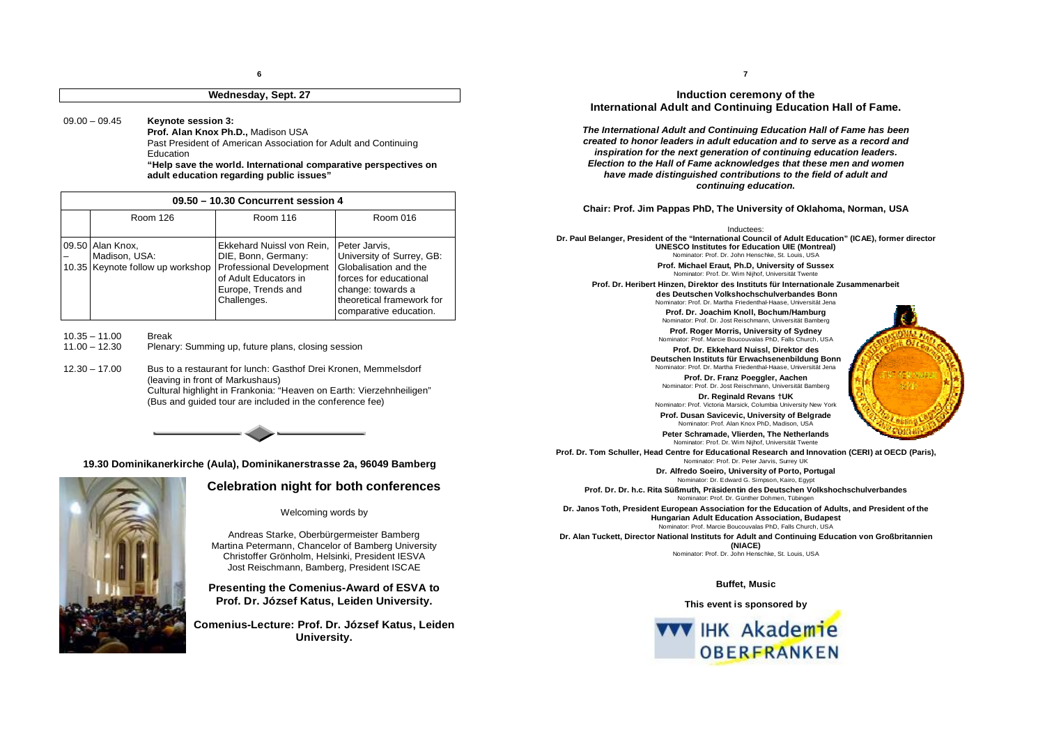# **Wednesday, Sept. 27**

09.00 – 09.45 **Keynote session 3:**

**Prof. Alan Knox Ph.D.,** Madison USA Past President of American Association for Adult and Continuing Education

**"Help save the world. International comparative perspectives on adult education regarding public issues"**

| 09.50 - 10.30 Concurrent session 4 |                                                                       |                                                                                                                                            |                                                                                                                                                                           |
|------------------------------------|-----------------------------------------------------------------------|--------------------------------------------------------------------------------------------------------------------------------------------|---------------------------------------------------------------------------------------------------------------------------------------------------------------------------|
|                                    | Room 126                                                              | Room 116                                                                                                                                   | Room 016                                                                                                                                                                  |
|                                    | 09.50 Alan Knox,<br>Madison, USA:<br>10.35 Keynote follow up workshop | Ekkehard Nuissl von Rein,<br>DIE, Bonn, Germany:<br>Professional Development<br>of Adult Educators in<br>Europe, Trends and<br>Challenges. | Peter Jarvis,<br>University of Surrey, GB:<br>Globalisation and the<br>forces for educational<br>change: towards a<br>theoretical framework for<br>comparative education. |

10.35 – 11.00 Break<br>11.00 – 12.30 Plenar

Plenary: Summing up, future plans, closing session

12.30 – 17.00 Bus to a restaurant for lunch: Gasthof Drei Kronen, Memmelsdorf (leaving in front of Markushaus) Cultural highlight in Frankonia: "Heaven on Earth: Vierzehnheiligen" (Bus and guided tour are included in the conference fee)



# **19.30 Dominikanerkirche (Aula), Dominikanerstrasse 2a, 96049 Bamberg**



# **Celebration night for both conferences**

Welcoming words by

Andreas Starke, Oberbürgermeister Bamberg Martina Petermann, Chancelor of Bamberg University Christoffer Grönholm, Helsinki, President IESVA Jost Reischmann, Bamberg, President ISCAE

**Presenting the Comenius-Award of ESVA to Prof. Dr. József Katus, Leiden University.**

**Comenius-Lecture: Prof. Dr. József Katus, Leiden University.**

**7**

# **Induction ceremony of the International Adult and Continuing Education Hall of Fame.**

*The International Adult and Continuing Education Hall of Fame has been created to honor leaders in adult education and to serve as a record and inspiration for the next generation of continuing education leaders. Election to the Hall of Fame acknowledges that these men and women have made distinguished contributions to the field of adult and continuing education.*

**Chair: Prof. Jim Pappas PhD, The University of Oklahoma, Norman, USA**

Inductees:

**Dr. Paul Belanger, President of the "International Council of Adult Education" (ICAE), former director UNESCO Institutes for Education UIE (Montreal)** Nominator: Prof. Dr. John Henschke, St. Louis, USA

> **Prof. Michael Eraut, Ph.D, University of Sussex** Nominator: Prof. Dr. Wim Nijhof, Universität Twente

**Prof. Dr. Heribert Hinzen, Direktor des Instituts für Internationale Zusammenarbeit des Deutschen Volkshochschulverbandes Bonn** Nominator: Prof. Dr. Martha Friedenthal-Haase, Universität Jena

> **Prof. Dr. Joachim Knoll, Bochum/Hamburg**  Nominator: Prof. Dr. Jost Reischmann, Universität Bamberg

**Prof. Roger Morris, University of Sydney** Nominator: Prof. Marcie Boucouvalas PhD, Falls Church, USA

**Prof. Dr. Ekkehard Nuissl, Direktor des Deutschen Instituts für Erwachsenenbildung Bonn** Nominator: Prof. Dr. Martha Friedenthal-Haase, Universität Jena

**Prof. Dr. Franz Poeggler, Aachen** Nominator: Prof. Dr. Jost Reischmann, Universität Bamberg

**Dr. Reginald Revans †UK** Nominator: Prof. Victoria Marsick, Columbia University New York

**Prof. Dusan Savicevic, University of Belgrade** Nominator: Prof. Alan Knox PhD, Madison, USA

**Peter Schramade, Vlierden, The Netherlands** Nominator: Prof. Dr. Wim Nijhof, Universität Twente

**Prof. Dr. Tom Schuller, Head Centre for Educational Research and Innovation (CERI) at OECD (Paris),** Nominator: Prof. Dr. Peter Jarvis, Surrey UK

> **Dr. Alfredo Soeiro, University of Porto, Portugal** Nominator: Dr. Edward G. Simpson, Kairo, Egypt

**Prof. Dr. Dr. h.c. Rita Süßmuth, Präsidentin des Deutschen Volkshochschulverbandes** Nominator: Prof. Dr. Günther Dohmen, Tübingen

**Dr. Janos Toth, President European Association for the Education of Adults, and President of the Hungarian Adult Education Association, Budapest** Nominator: Prof. Marcie Boucouvalas PhD, Falls Church, USA

**Dr. Alan Tuckett, Director National Instituts for Adult and Continuing Education von Großbritannien (NIACE)**

Nominator: Prof. Dr. John Henschke, St. Louis, USA

### **Buffet, Music**

**This event is sponsored by** 

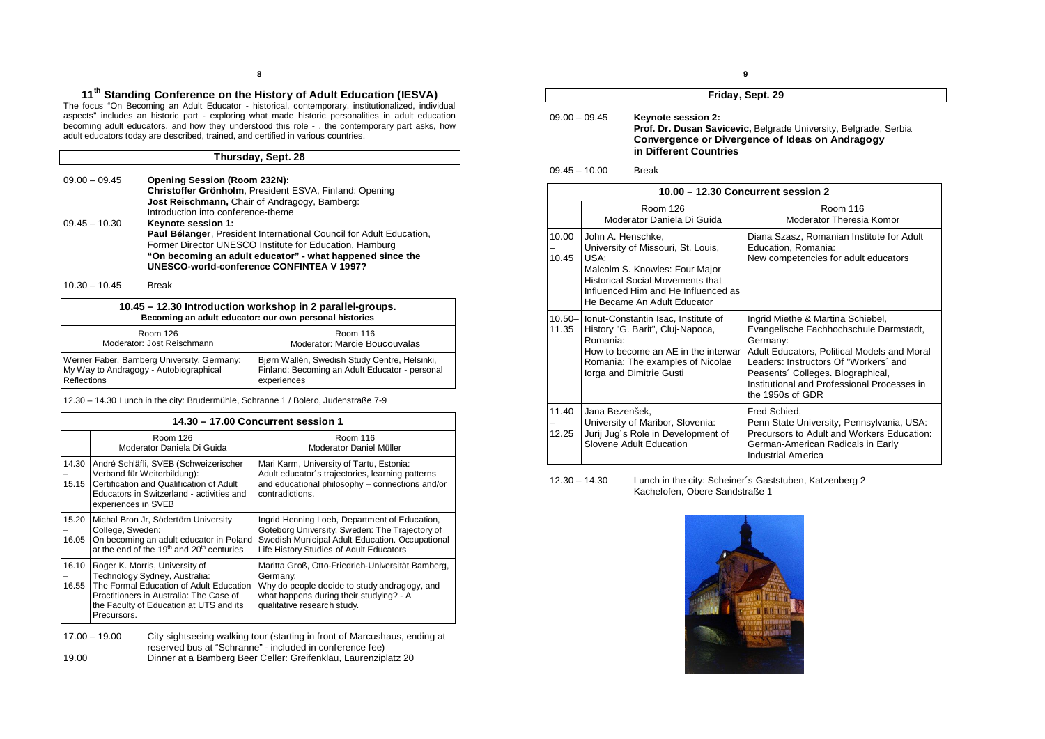# **11th Standing Conference on the History of Adult Education (IESVA)**

The focus "On Becoming an Adult Educator - historical, contemporary, institutionalized, individual aspects" includes an historic part - exploring what made historic personalities in adult education becoming adult educators, and how they understood this role - , the contemporary part asks, how adult educators today are described, trained, and certified in various countries.

## **Thursday, Sept. 28**

| $09.00 - 09.45$ | <b>Opening Session (Room 232N):</b>                                 |
|-----------------|---------------------------------------------------------------------|
|                 | Christoffer Grönholm, President ESVA, Finland: Opening              |
|                 | <b>Jost Reischmann, Chair of Andragogy, Bamberg:</b>                |
|                 | Introduction into conference-theme                                  |
| $09.45 - 10.30$ | <b>Keynote session 1:</b>                                           |
|                 | Paul Bélanger, President International Council for Adult Education, |
|                 | Former Director UNESCO Institute for Education, Hamburg             |
|                 | "On becoming an adult educator" - what happened since the           |
|                 | UNESCO-world-conference CONFINTEA V 1997?                           |

#### 10.30 – 10.45 Break

| 10.45 - 12.30 Introduction workshop in 2 parallel-groups.<br>Becoming an adult educator: our own personal histories |                                                |  |
|---------------------------------------------------------------------------------------------------------------------|------------------------------------------------|--|
| Room 126                                                                                                            | Room 116                                       |  |
| Moderator: Jost Reischmann                                                                                          | Moderator: Marcie Boucouvalas                  |  |
| Werner Faber, Bamberg University, Germany:                                                                          | Bjørn Wallén, Swedish Study Centre, Helsinki,  |  |
| My Way to Andragogy - Autobiographical                                                                              | Finland: Becoming an Adult Educator - personal |  |
| Reflections                                                                                                         | experiences                                    |  |

12.30 – 14.30 Lunch in the city: Brudermühle, Schranne 1 / Bolero, Judenstraße 7-9

|                | 14.30 - 17.00 Concurrent session 1                                                                                                                                                                              |                                                                                                                                                                                               |  |
|----------------|-----------------------------------------------------------------------------------------------------------------------------------------------------------------------------------------------------------------|-----------------------------------------------------------------------------------------------------------------------------------------------------------------------------------------------|--|
|                | Room 126<br>Moderator Daniela Di Guida                                                                                                                                                                          | Room 116<br>Moderator Daniel Müller                                                                                                                                                           |  |
| 14.30<br>15.15 | André Schläfli, SVEB (Schweizerischer<br>Verband für Weiterbildung):<br>Certification and Qualification of Adult<br>Educators in Switzerland - activities and<br>experiences in SVEB                            | Mari Karm, University of Tartu, Estonia:<br>Adult educator's trajectories, learning patterns<br>and educational philosophy - connections and/or<br>contradictions.                            |  |
| 15.20<br>16.05 | Michal Bron Jr. Södertörn University<br>College, Sweden:<br>On becoming an adult educator in Poland<br>at the end of the 19 <sup>th</sup> and 20 <sup>th</sup> centuries                                        | Ingrid Henning Loeb, Department of Education,<br>Goteborg University, Sweden: The Trajectory of<br>Swedish Municipal Adult Education. Occupational<br>Life History Studies of Adult Educators |  |
| 16.10<br>16.55 | Roger K. Morris, University of<br>Technology Sydney, Australia:<br>The Formal Education of Adult Education<br>Practitioners in Australia: The Case of<br>the Faculty of Education at UTS and its<br>Precursors. | Maritta Groß, Otto-Friedrich-Universität Bamberg,<br>Germany:<br>Why do people decide to study andragogy, and<br>what happens during their studying? - A<br>qualitative research study.       |  |

17.00 – 19.00 City sightseeing walking tour (starting in front of Marcushaus, ending at reserved bus at "Schranne" - included in conference fee)

19.00 Dinner at a Bamberg Beer Celler: Greifenklau, Laurenziplatz 20

### **Friday, Sept. 29**

## 09.00 – 09.45 **Keynote session 2: Prof. Dr. Dusan Savicevic,** Belgrade University, Belgrade, Serbia **Convergence or Divergence of Ideas on Andragogy in Different Countries**

## 09.45 – 10.00 Break

|                | 10.00 - 12.30 Concurrent session 2                                                                                                                                                                                             |                                                                                                                                                                                                                                                                                         |  |
|----------------|--------------------------------------------------------------------------------------------------------------------------------------------------------------------------------------------------------------------------------|-----------------------------------------------------------------------------------------------------------------------------------------------------------------------------------------------------------------------------------------------------------------------------------------|--|
|                | Room 126<br>Moderator Daniela Di Guida                                                                                                                                                                                         | Room 116<br>Moderator Theresia Komor                                                                                                                                                                                                                                                    |  |
| 10.00<br>10.45 | John A. Henschke,<br>University of Missouri, St. Louis,<br>USA <sup>.</sup><br>Malcolm S. Knowles: Four Major<br><b>Historical Social Movements that</b><br>Influenced Him and He Influenced as<br>He Became An Adult Educator | Diana Szasz, Romanian Institute for Adult<br>Education, Romania:<br>New competencies for adult educators                                                                                                                                                                                |  |
| 11.35          | 10.50- Ionut-Constantin Isac, Institute of<br>History "G. Barit", Cluj-Napoca,<br>Romania:<br>How to become an AE in the interwar<br>Romania: The examples of Nicolae<br>lorga and Dimitrie Gusti                              | Ingrid Miethe & Martina Schiebel,<br>Evangelische Fachhochschule Darmstadt,<br>Germany:<br>Adult Educators, Political Models and Moral<br>Leaders: Instructors Of "Workers' and<br>Peasents' Colleges. Biographical,<br>Institutional and Professional Processes in<br>the 1950s of GDR |  |
| 11.40<br>12.25 | Jana Bezenšek,<br>University of Maribor, Slovenia:<br>Jurij Jug's Role in Development of<br>Slovene Adult Education                                                                                                            | Fred Schied,<br>Penn State University, Pennsylvania, USA:<br>Precursors to Adult and Workers Education:<br>German-American Radicals in Early<br>Industrial America                                                                                                                      |  |

#### 12.30 – 14.30 Lunch in the city: Scheiner´s Gaststuben, Katzenberg 2 Kachelofen, Obere Sandstraße 1